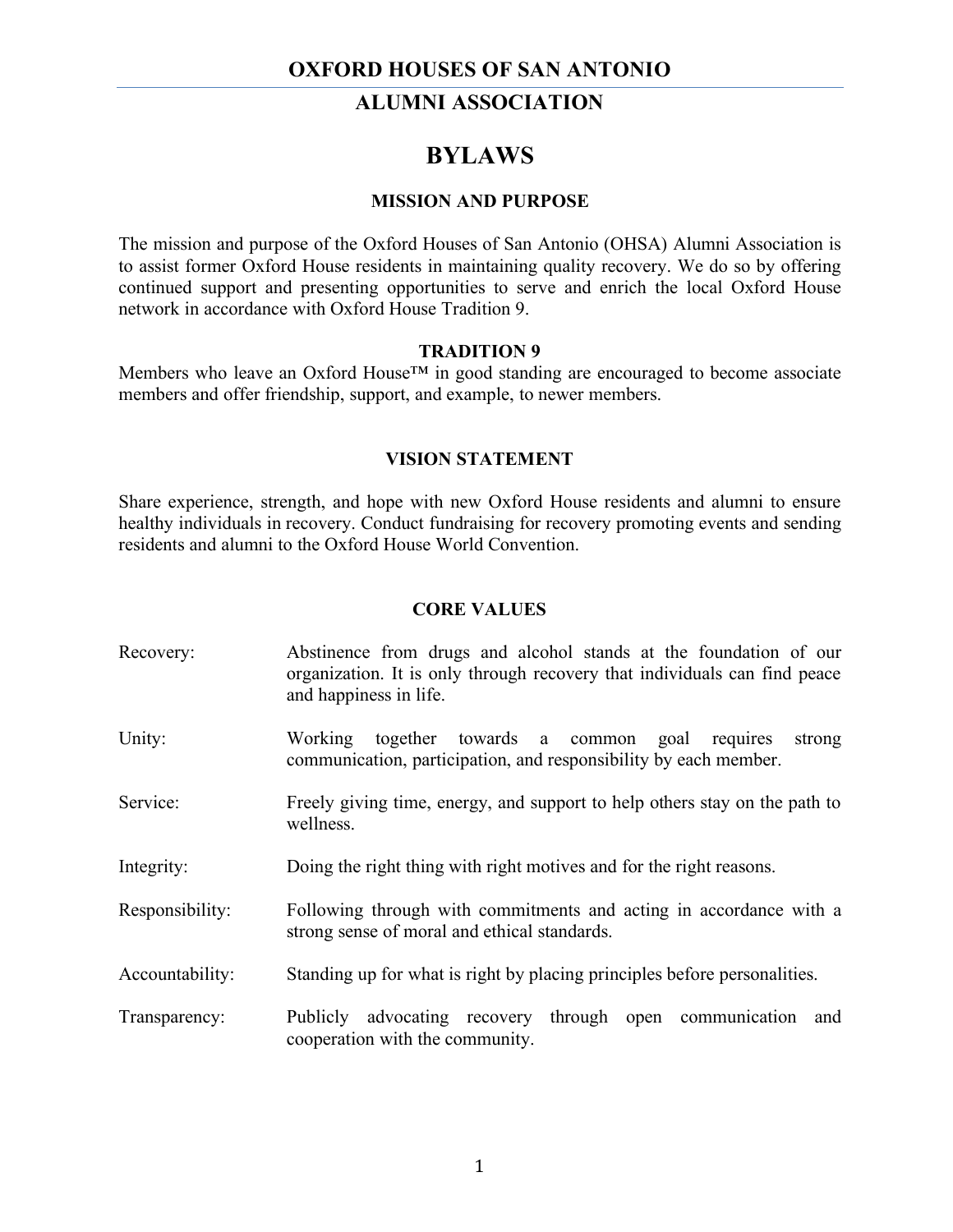## **OXFORD HOUSES OF SAN ANTONIO**

## **ALUMNI ASSOCIATION**

# **BYLAWS**

#### **MISSION AND PURPOSE**

The mission and purpose of the Oxford Houses of San Antonio (OHSA) Alumni Association is to assist former Oxford House residents in maintaining quality recovery. We do so by offering continued support and presenting opportunities to serve and enrich the local Oxford House network in accordance with Oxford House Tradition 9.

### **TRADITION 9**

Members who leave an Oxford House™ in good standing are encouraged to become associate members and offer friendship, support, and example, to newer members.

### **VISION STATEMENT**

Share experience, strength, and hope with new Oxford House residents and alumni to ensure healthy individuals in recovery. Conduct fundraising for recovery promoting events and sending residents and alumni to the Oxford House World Convention.

### **CORE VALUES**

| Recovery:       | Abstinence from drugs and alcohol stands at the foundation of our<br>organization. It is only through recovery that individuals can find peace<br>and happiness in life. |
|-----------------|--------------------------------------------------------------------------------------------------------------------------------------------------------------------------|
| Unity:          | together towards a common<br>Working<br>goal<br>requires<br>strong<br>communication, participation, and responsibility by each member.                                   |
| Service:        | Freely giving time, energy, and support to help others stay on the path to<br>wellness.                                                                                  |
| Integrity:      | Doing the right thing with right motives and for the right reasons.                                                                                                      |
| Responsibility: | Following through with commitments and acting in accordance with a<br>strong sense of moral and ethical standards.                                                       |
| Accountability: | Standing up for what is right by placing principles before personalities.                                                                                                |
| Transparency:   | Publicly advocating recovery<br>through open communication<br>and<br>cooperation with the community.                                                                     |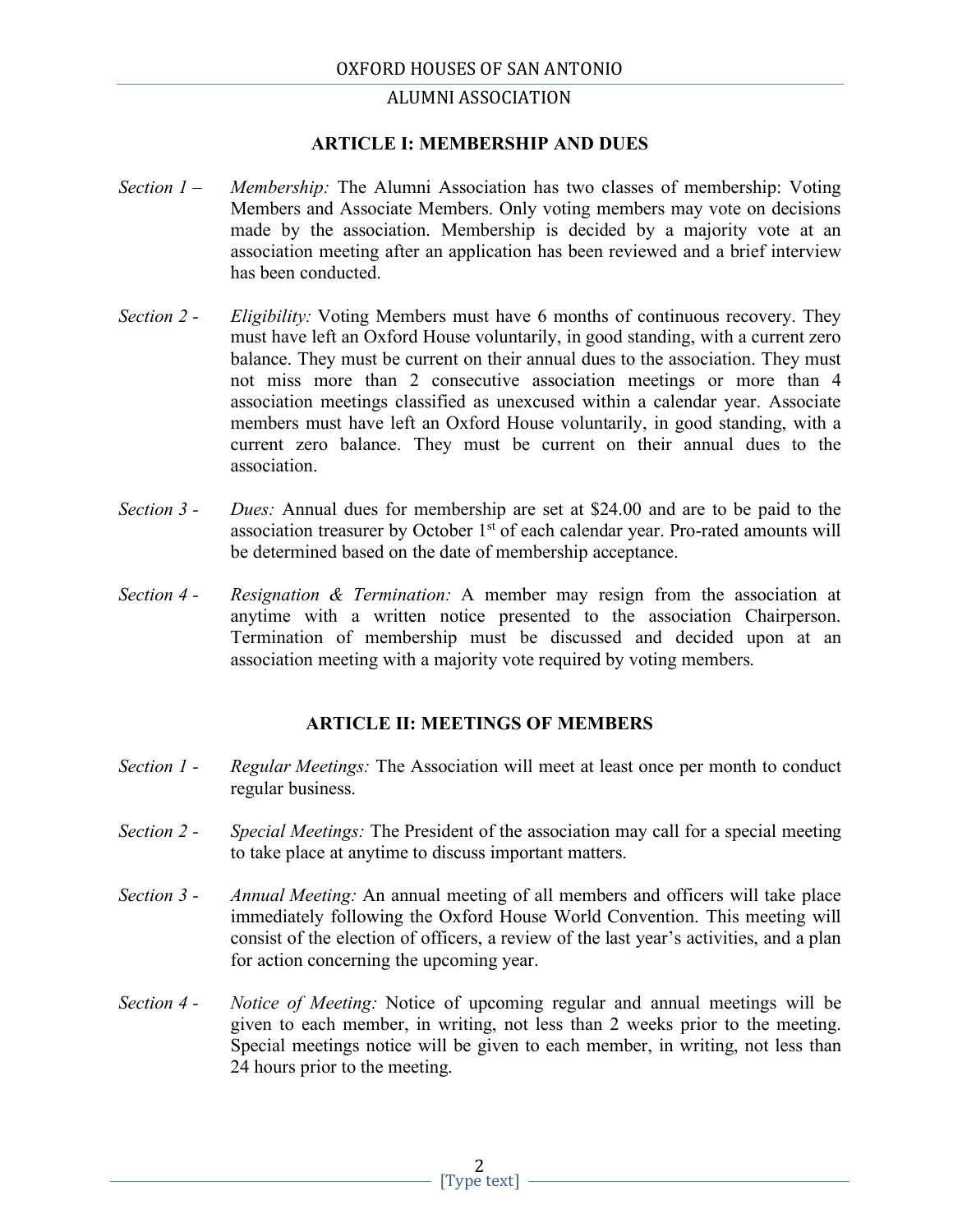## **ALUMNI ASSOCIATION**

### **ARTICLE I: MEMBERSHIP AND DUES**

- *Section 1 – Membership:* The Alumni Association has two classes of membership: Voting Members and Associate Members. Only voting members may vote on decisions made by the association. Membership is decided by a majority vote at an association meeting after an application has been reviewed and a brief interview has been conducted.
- *Section 2 - Eligibility:* Voting Members must have 6 months of continuous recovery. They must have left an Oxford House voluntarily, in good standing, with a current zero balance. They must be current on their annual dues to the association. They must not miss more than 2 consecutive association meetings or more than 4 association meetings classified as unexcused within a calendar year. Associate members must have left an Oxford House voluntarily, in good standing, with a current zero balance. They must be current on their annual dues to the association.
- *Section 3 - Dues:* Annual dues for membership are set at \$24.00 and are to be paid to the association treasurer by October 1<sup>st</sup> of each calendar year. Pro-rated amounts will be determined based on the date of membership acceptance.
- *Section 4 - Resignation & Termination:* A member may resign from the association at anytime with a written notice presented to the association Chairperson. Termination of membership must be discussed and decided upon at an association meeting with a majority vote required by voting members.

## **ARTICLE II: MEETINGS OF MEMBERS**

- *Section 1 - Regular Meetings:* The Association will meet at least once per month to conduct regular business.
- *Section 2 - Special Meetings:* The President of the association may call for a special meeting to take place at anytime to discuss important matters.
- *Section 3 - Annual Meeting:* An annual meeting of all members and officers will take place immediately following the Oxford House World Convention. This meeting will consist of the election of officers, a review of the last year's activities, and a plan for action concerning the upcoming year.
- *Section 4 - Notice of Meeting:* Notice of upcoming regular and annual meetings will be given to each member, in writing, not less than 2 weeks prior to the meeting. Special meetings notice will be given to each member, in writing, not less than 24 hours prior to the meeting.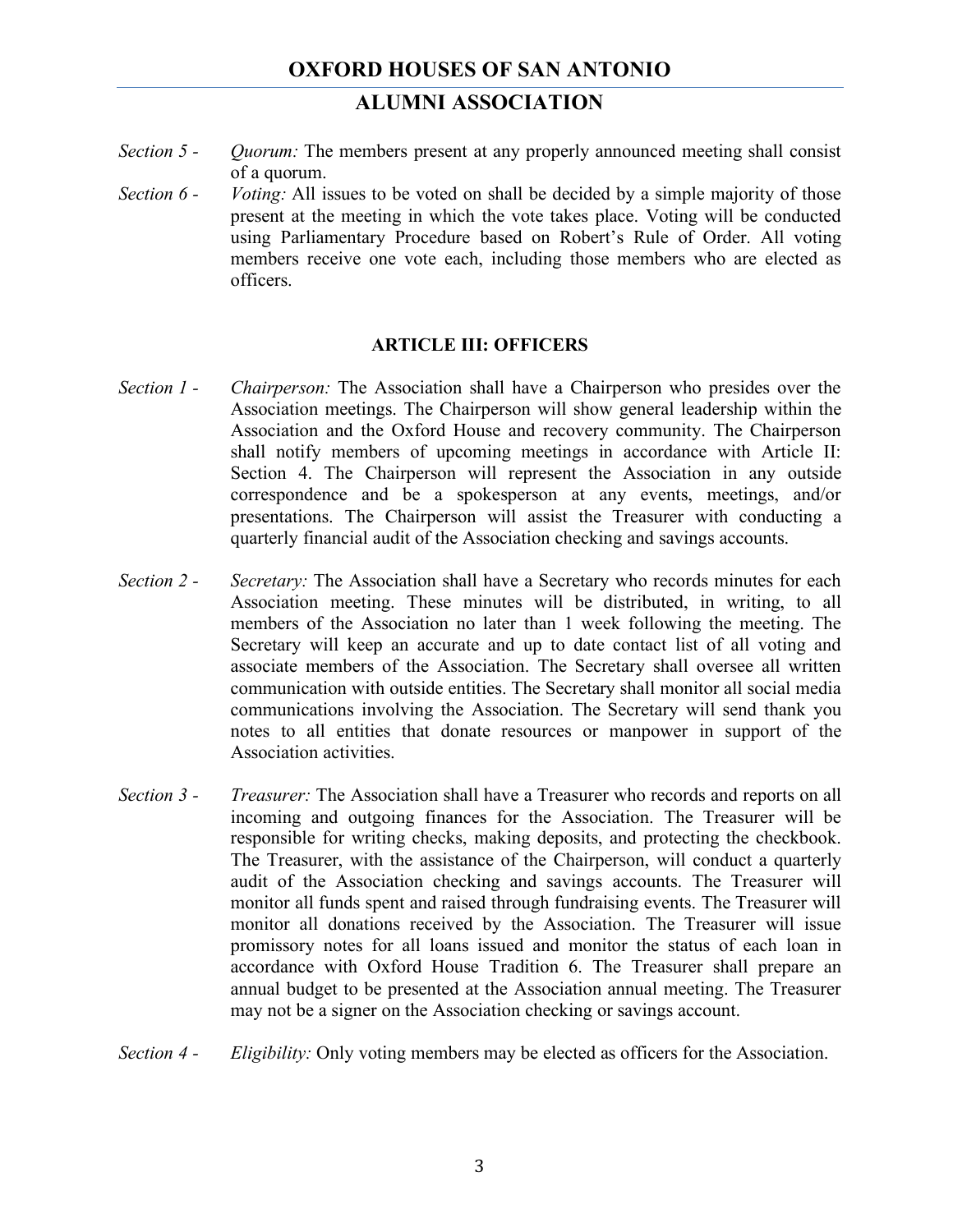# **ALUMNI ASSOCIATION**

- *Section 5 - Quorum:* The members present at any properly announced meeting shall consist of a quorum.
- *Section 6 - Voting:* All issues to be voted on shall be decided by a simple majority of those present at the meeting in which the vote takes place. Voting will be conducted using Parliamentary Procedure based on Robert's Rule of Order. All voting members receive one vote each, including those members who are elected as officers.

### **ARTICLE III: OFFICERS**

- *Section 1 - Chairperson:* The Association shall have a Chairperson who presides over the Association meetings. The Chairperson will show general leadership within the Association and the Oxford House and recovery community. The Chairperson shall notify members of upcoming meetings in accordance with Article II: Section 4. The Chairperson will represent the Association in any outside correspondence and be a spokesperson at any events, meetings, and/or presentations. The Chairperson will assist the Treasurer with conducting a quarterly financial audit of the Association checking and savings accounts.
- *Section 2 - Secretary:* The Association shall have a Secretary who records minutes for each Association meeting. These minutes will be distributed, in writing, to all members of the Association no later than 1 week following the meeting. The Secretary will keep an accurate and up to date contact list of all voting and associate members of the Association. The Secretary shall oversee all written communication with outside entities. The Secretary shall monitor all social media communications involving the Association. The Secretary will send thank you notes to all entities that donate resources or manpower in support of the Association activities.
- *Section 3 - Treasurer:* The Association shall have a Treasurer who records and reports on all incoming and outgoing finances for the Association. The Treasurer will be responsible for writing checks, making deposits, and protecting the checkbook. The Treasurer, with the assistance of the Chairperson, will conduct a quarterly audit of the Association checking and savings accounts. The Treasurer will monitor all funds spent and raised through fundraising events. The Treasurer will monitor all donations received by the Association. The Treasurer will issue promissory notes for all loans issued and monitor the status of each loan in accordance with Oxford House Tradition 6. The Treasurer shall prepare an annual budget to be presented at the Association annual meeting. The Treasurer may not be a signer on the Association checking or savings account.
- *Section 4 - Eligibility:* Only voting members may be elected as officers for the Association.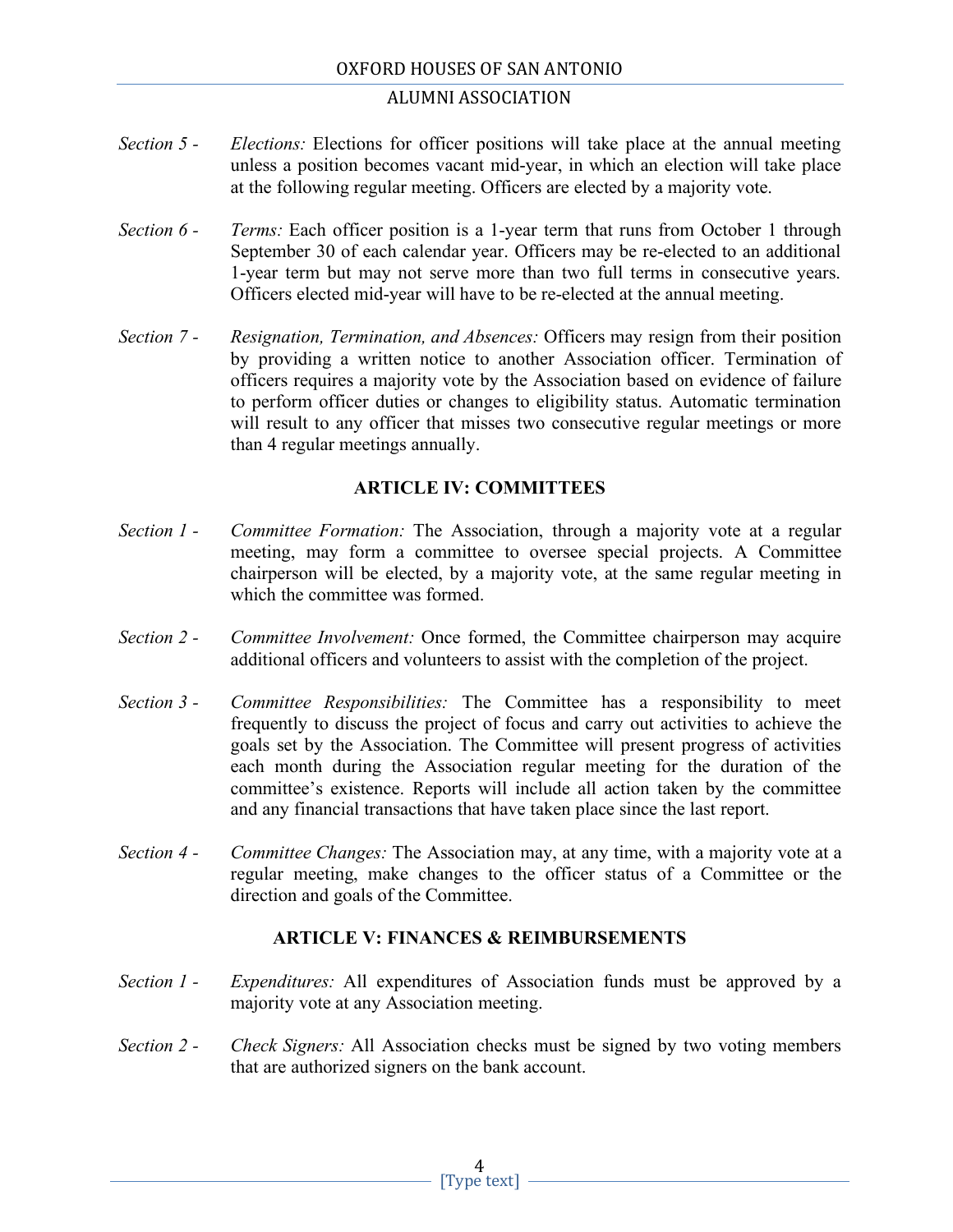### ALUMNI ASSOCIATION

- *Section 5 - Elections:* Elections for officer positions will take place at the annual meeting unless a position becomes vacant mid-year, in which an election will take place at the following regular meeting. Officers are elected by a majority vote.
- *Section 6 - Terms:* Each officer position is a 1-year term that runs from October 1 through September 30 of each calendar year. Officers may be re-elected to an additional 1-year term but may not serve more than two full terms in consecutive years. Officers elected mid-year will have to be re-elected at the annual meeting.
- *Section 7 - Resignation, Termination, and Absences:* Officers may resign from their position by providing a written notice to another Association officer. Termination of officers requires a majority vote by the Association based on evidence of failure to perform officer duties or changes to eligibility status. Automatic termination will result to any officer that misses two consecutive regular meetings or more than 4 regular meetings annually.

## **ARTICLE IV: COMMITTEES**

- *Section 1 - Committee Formation:* The Association, through a majority vote at a regular meeting, may form a committee to oversee special projects. A Committee chairperson will be elected, by a majority vote, at the same regular meeting in which the committee was formed.
- *Section 2 - Committee Involvement:* Once formed, the Committee chairperson may acquire additional officers and volunteers to assist with the completion of the project.
- *Section 3 - Committee Responsibilities:* The Committee has a responsibility to meet frequently to discuss the project of focus and carry out activities to achieve the goals set by the Association. The Committee will present progress of activities each month during the Association regular meeting for the duration of the committee's existence. Reports will include all action taken by the committee and any financial transactions that have taken place since the last report.
- *Section 4 - Committee Changes:* The Association may, at any time, with a majority vote at a regular meeting, make changes to the officer status of a Committee or the direction and goals of the Committee.

## **ARTICLE V: FINANCES & REIMBURSEMENTS**

- *Section 1 - Expenditures:* All expenditures of Association funds must be approved by a majority vote at any Association meeting.
- *Section 2 - Check Signers:* All Association checks must be signed by two voting members that are authorized signers on the bank account.